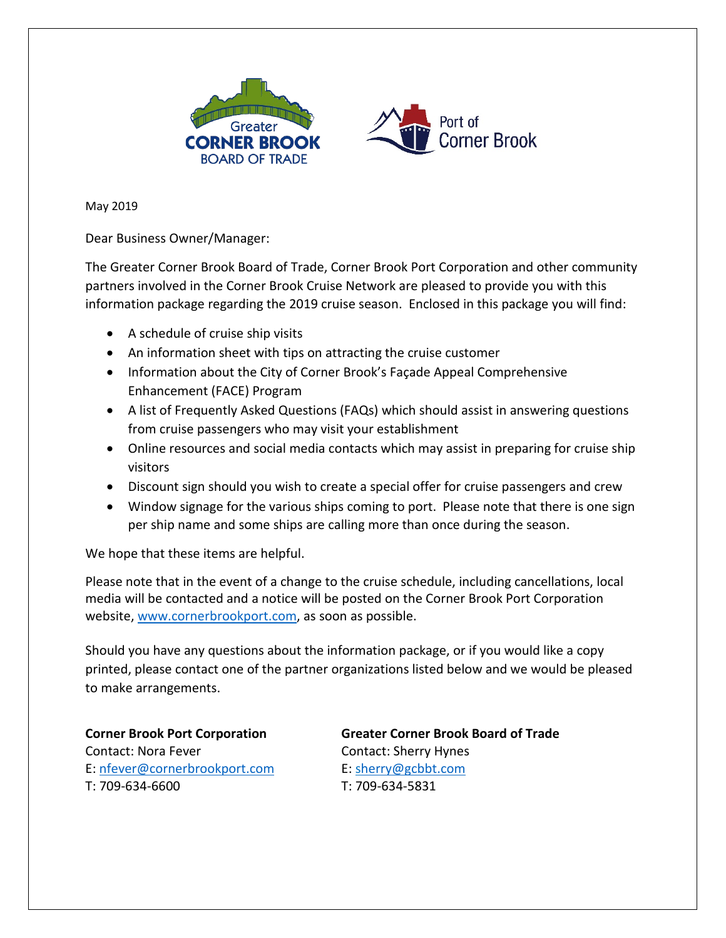



May 2019

Dear Business Owner/Manager:

The Greater Corner Brook Board of Trade, Corner Brook Port Corporation and other community partners involved in the Corner Brook Cruise Network are pleased to provide you with this information package regarding the 2019 cruise season. Enclosed in this package you will find:

- A schedule of cruise ship visits
- An information sheet with tips on attracting the cruise customer
- Information about the City of Corner Brook's Façade Appeal Comprehensive Enhancement (FACE) Program
- A list of Frequently Asked Questions (FAQs) which should assist in answering questions from cruise passengers who may visit your establishment
- Online resources and social media contacts which may assist in preparing for cruise ship visitors
- Discount sign should you wish to create a special offer for cruise passengers and crew
- Window signage for the various ships coming to port. Please note that there is one sign per ship name and some ships are calling more than once during the season.

We hope that these items are helpful.

Please note that in the event of a change to the cruise schedule, including cancellations, local media will be contacted and a notice will be posted on the Corner Brook Port Corporation website, [www.cornerbrookport.com,](http://www.cornerbrookport.com/) as soon as possible.

Should you have any questions about the information package, or if you would like a copy printed, please contact one of the partner organizations listed below and we would be pleased to make arrangements.

Contact: Nora Fever Contact: Sherry Hynes E: [nfever@cornerbrookport.com](mailto:nfever@cornerbrookport.com) E: [sherry@gcbbt.com](mailto:herry@gcbbt.com) T: 709-634-6600 T: 709-634-5831

**Corner Brook Port Corporation Greater Corner Brook Board of Trade**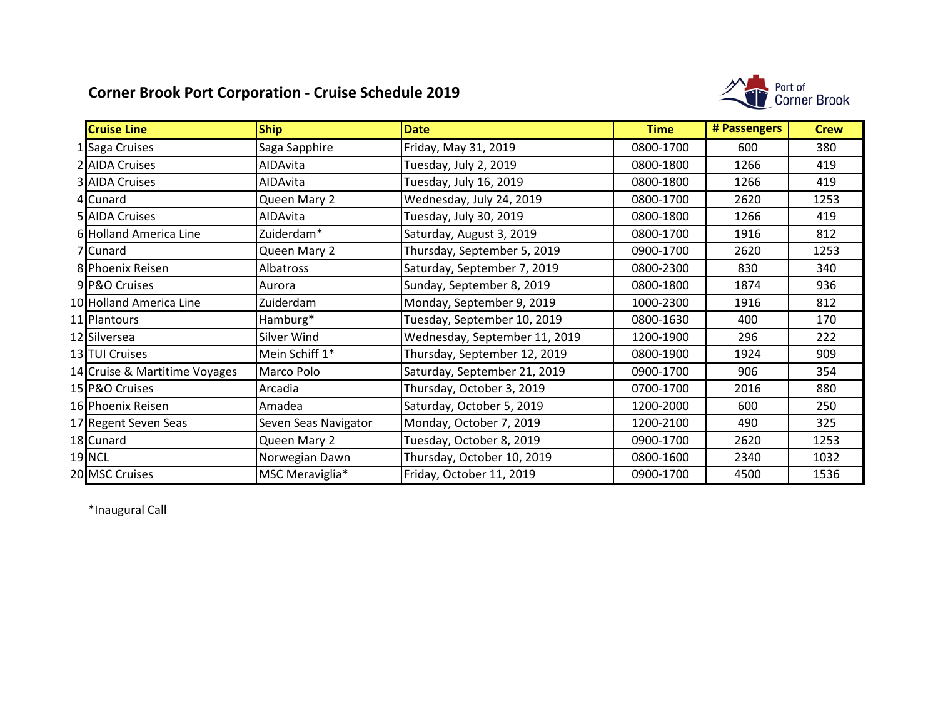### **Corner Brook Port Corporation - Cruise Schedule 2019**



| <b>Cruise Line</b>            | <b>Ship</b>          | <b>Date</b>                   | <b>Time</b> | # Passengers | <b>Crew</b> |
|-------------------------------|----------------------|-------------------------------|-------------|--------------|-------------|
| 1 Saga Cruises                | Saga Sapphire        | Friday, May 31, 2019          | 0800-1700   | 600          | 380         |
| 2 AIDA Cruises                | AIDAvita             | Tuesday, July 2, 2019         | 0800-1800   | 1266         | 419         |
| <b>3 AIDA Cruises</b>         | AIDAvita             | Tuesday, July 16, 2019        | 0800-1800   | 1266         | 419         |
| 4 Cunard                      | Queen Mary 2         | Wednesday, July 24, 2019      | 0800-1700   | 2620         | 1253        |
| 5 AIDA Cruises                | AIDAvita             | Tuesday, July 30, 2019        | 0800-1800   | 1266         | 419         |
| 6 Holland America Line        | Zuiderdam*           | Saturday, August 3, 2019      | 0800-1700   | 1916         | 812         |
| 7 Cunard                      | Queen Mary 2         | Thursday, September 5, 2019   | 0900-1700   | 2620         | 1253        |
| 8 Phoenix Reisen              | Albatross            | Saturday, September 7, 2019   | 0800-2300   | 830          | 340         |
| 9 P&O Cruises                 | Aurora               | Sunday, September 8, 2019     | 0800-1800   | 1874         | 936         |
| 10 Holland America Line       | Zuiderdam            | Monday, September 9, 2019     | 1000-2300   | 1916         | 812         |
| 11 Plantours                  | Hamburg*             | Tuesday, September 10, 2019   | 0800-1630   | 400          | 170         |
| 12 Silversea                  | Silver Wind          | Wednesday, September 11, 2019 | 1200-1900   | 296          | 222         |
| 13 TUI Cruises                | Mein Schiff 1*       | Thursday, September 12, 2019  | 0800-1900   | 1924         | 909         |
| 14 Cruise & Martitime Voyages | Marco Polo           | Saturday, September 21, 2019  | 0900-1700   | 906          | 354         |
| 15 P&O Cruises                | Arcadia              | Thursday, October 3, 2019     | 0700-1700   | 2016         | 880         |
| 16 Phoenix Reisen             | Amadea               | Saturday, October 5, 2019     | 1200-2000   | 600          | 250         |
| 17 Regent Seven Seas          | Seven Seas Navigator | Monday, October 7, 2019       | 1200-2100   | 490          | 325         |
| 18 Cunard                     | Queen Mary 2         | Tuesday, October 8, 2019      | 0900-1700   | 2620         | 1253        |
| 19 NCL                        | Norwegian Dawn       | Thursday, October 10, 2019    | 0800-1600   | 2340         | 1032        |
| 20 MSC Cruises                | MSC Meraviglia*      | Friday, October 11, 2019      | 0900-1700   | 4500         | 1536        |

\*Inaugural Call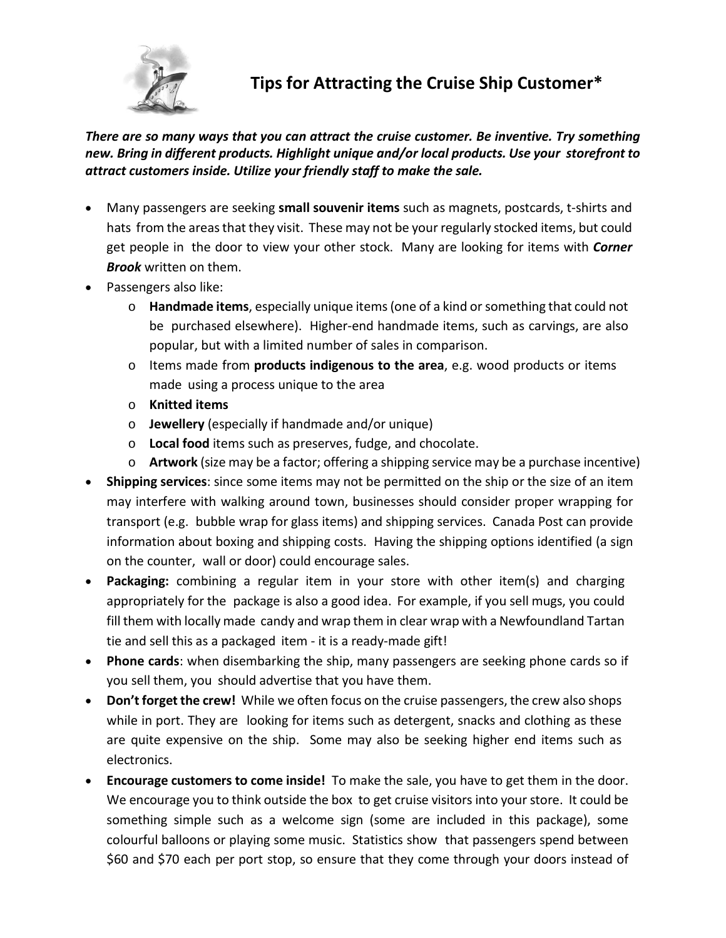

**Tips for Attracting the Cruise Ship Customer\***

*There are so many ways that you can attract the cruise customer. Be inventive. Try something new. Bring in different products. Highlight unique and/or local products. Use your storefront to attract customers inside. Utilize your friendly staff to make the sale.*

- Many passengers are seeking **small souvenir items** such as magnets, postcards, t-shirts and hats from the areas that they visit. These may not be your regularly stocked items, but could get people in the door to view your other stock. Many are looking for items with *Corner Brook* written on them.
- Passengers also like:
	- o **Handmade items**, especially unique items(one of a kind or something that could not be purchased elsewhere). Higher-end handmade items, such as carvings, are also popular, but with a limited number of sales in comparison.
	- o Items made from **products indigenous to the area**, e.g. wood products or items made using a process unique to the area
	- o **Knitted items**
	- o **Jewellery** (especially if handmade and/or unique)
	- o **Local food** items such as preserves, fudge, and chocolate.
	- o **Artwork** (size may be a factor; offering a shipping service may be a purchase incentive)
- **Shipping services**: since some items may not be permitted on the ship or the size of an item may interfere with walking around town, businesses should consider proper wrapping for transport (e.g. bubble wrap for glass items) and shipping services. Canada Post can provide information about boxing and shipping costs. Having the shipping options identified (a sign on the counter, wall or door) could encourage sales.
- **Packaging:** combining a regular item in your store with other item(s) and charging appropriately for the package is also a good idea. For example, if you sell mugs, you could fill them with locally made candy and wrap them in clear wrap with a Newfoundland Tartan tie and sell this as a packaged item - it is a ready-made gift!
- **Phone cards**: when disembarking the ship, many passengers are seeking phone cards so if you sell them, you should advertise that you have them.
- **Don't forget the crew!** While we often focus on the cruise passengers, the crew also shops while in port. They are looking for items such as detergent, snacks and clothing as these are quite expensive on the ship. Some may also be seeking higher end items such as electronics.
- **Encourage customers to come inside!** To make the sale, you have to get them in the door. We encourage you to think outside the box to get cruise visitors into your store. It could be something simple such as a welcome sign (some are included in this package), some colourful balloons or playing some music. Statistics show that passengers spend between \$60 and \$70 each per port stop, so ensure that they come through your doors instead of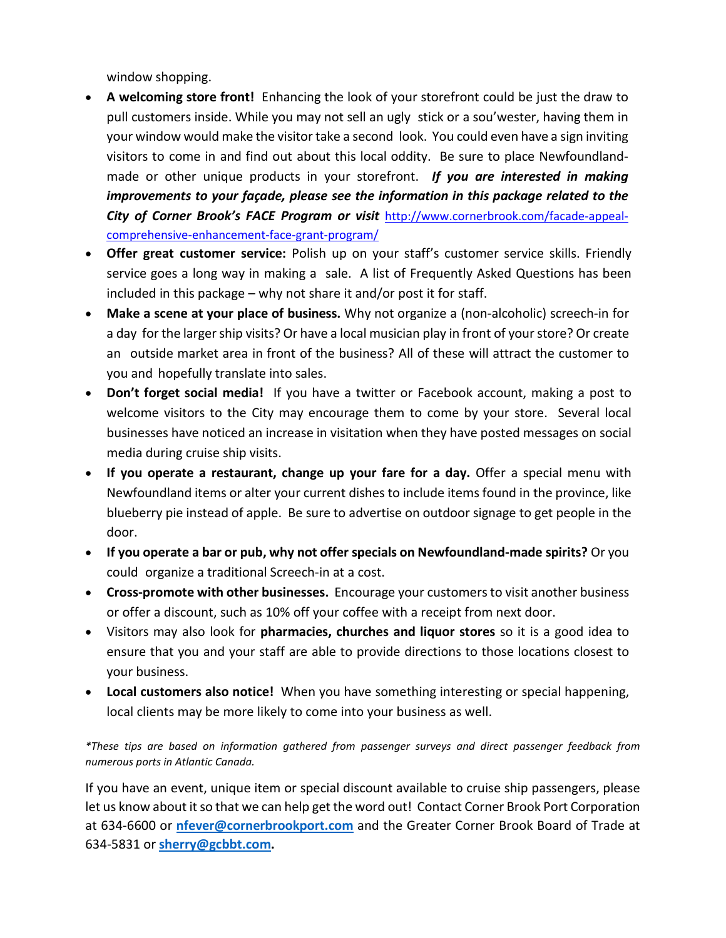window shopping.

- **A welcoming store front!** Enhancing the look of your storefront could be just the draw to pull customers inside. While you may not sell an ugly stick or a sou'wester, having them in your window would make the visitor take a second look. You could even have a sign inviting visitors to come in and find out about this local oddity. Be sure to place Newfoundlandmade or other unique products in your storefront. *If you are interested in making improvements to your façade, please see the information in this package related to the City of Corner Brook's FACE Program or visit* [http://www.cornerbrook.com/facade-appeal](http://www.cornerbrook.com/facade-appeal-comprehensive-enhancement-face-grant-program/)[comprehensive-enhancement-face-grant-program/](http://www.cornerbrook.com/facade-appeal-comprehensive-enhancement-face-grant-program/)
- **Offer great customer service:** Polish up on your staff's customer service skills. Friendly service goes a long way in making a sale. A list of Frequently Asked Questions has been included in this package – why not share it and/or post it for staff.
- **Make a scene at your place of business.** Why not organize a (non-alcoholic) screech-in for a day for the larger ship visits? Or have a local musician play in front of your store? Or create an outside market area in front of the business? All of these will attract the customer to you and hopefully translate into sales.
- **Don't forget social media!** If you have a twitter or Facebook account, making a post to welcome visitors to the City may encourage them to come by your store. Several local businesses have noticed an increase in visitation when they have posted messages on social media during cruise ship visits.
- **If you operate a restaurant, change up your fare for a day.** Offer a special menu with Newfoundland items or alter your current dishes to include items found in the province, like blueberry pie instead of apple. Be sure to advertise on outdoor signage to get people in the door.
- **If you operate a bar or pub, why not offer specials on Newfoundland-made spirits?** Or you could organize a traditional Screech-in at a cost.
- **Cross-promote with other businesses.** Encourage your customers to visit another business or offer a discount, such as 10% off your coffee with a receipt from next door.
- Visitors may also look for **pharmacies, churches and liquor stores** so it is a good idea to ensure that you and your staff are able to provide directions to those locations closest to your business.
- **Local customers also notice!** When you have something interesting or special happening, local clients may be more likely to come into your business as well.

*\*These tips are based on information gathered from passenger surveys and direct passenger feedback from numerous ports in Atlantic Canada.*

If you have an event, unique item or special discount available to cruise ship passengers, please let us know about it so that we can help get the word out! Contact Corner Brook Port Corporation at 634-6600 or **[nfever@cornerbrookport.com](mailto:nfever@cornerbrookport.com)** and the Greater Corner Brook Board of Trade at 634-5831 or **[sherry@gcbbt.com.](mailto:sherry@gcbbt.com)**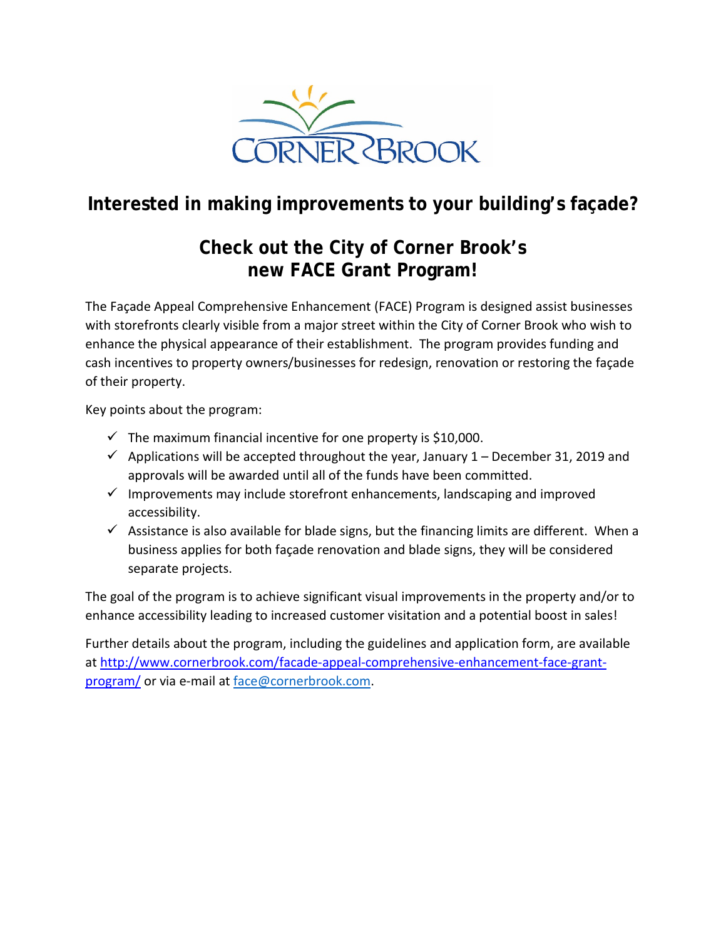

### **Interested in making improvements to your building's façade?**

### **Check out the City of Corner Brook's new FACE Grant Program!**

The Façade Appeal Comprehensive Enhancement (FACE) Program is designed assist businesses with storefronts clearly visible from a major street within the City of Corner Brook who wish to enhance the physical appearance of their establishment. The program provides funding and cash incentives to property owners/businesses for redesign, renovation or restoring the façade of their property.

Key points about the program:

- $\checkmark$  The maximum financial incentive for one property is \$10,000.
- $\checkmark$  Applications will be accepted throughout the year, January 1 December 31, 2019 and approvals will be awarded until all of the funds have been committed.
- $\checkmark$  Improvements may include storefront enhancements, landscaping and improved accessibility.
- $\checkmark$  Assistance is also available for blade signs, but the financing limits are different. When a business applies for both façade renovation and blade signs, they will be considered separate projects.

The goal of the program is to achieve significant visual improvements in the property and/or to enhance accessibility leading to increased customer visitation and a potential boost in sales!

Further details about the program, including the guidelines and application form, are available at [http://www.cornerbrook.com/facade-appeal-comprehensive-enhancement-face-grant](http://www.cornerbrook.com/facade-appeal-comprehensive-enhancement-face-grant-program/)[program/](http://www.cornerbrook.com/facade-appeal-comprehensive-enhancement-face-grant-program/) or via e-mail at [face@cornerbrook.com.](mailto:face@cornerbrook.com)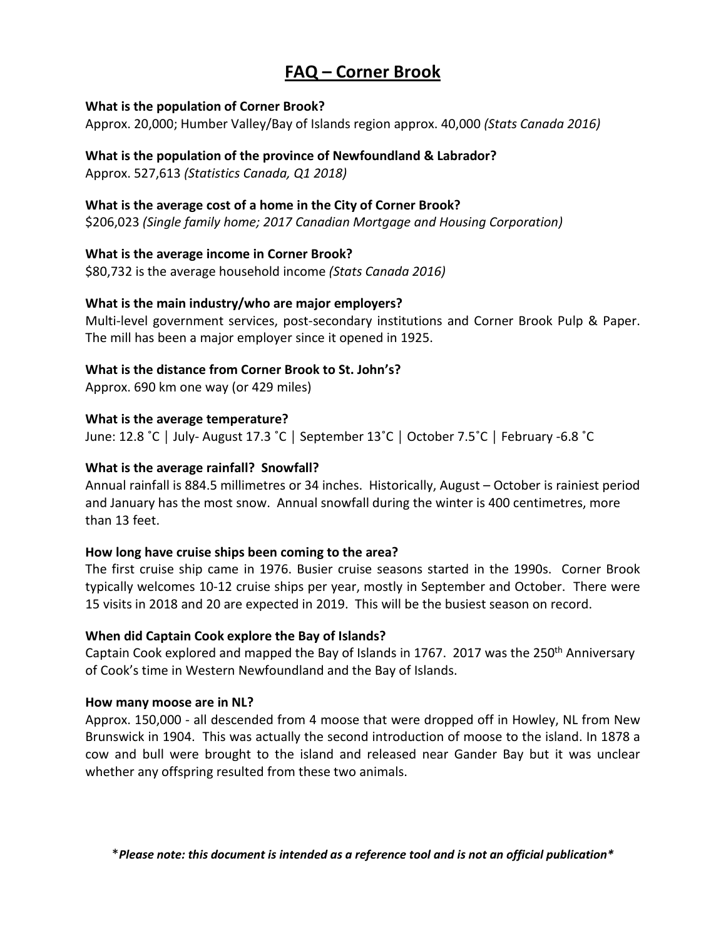### **FAQ – Corner Brook**

### **What is the population of Corner Brook?**

Approx. 20,000; Humber Valley/Bay of Islands region approx. 40,000 *(Stats Canada 2016)*

### **What is the population of the province of Newfoundland & Labrador?**

Approx. 527,613 *(Statistics Canada, Q1 2018)*

### **What is the average cost of a home in the City of Corner Brook?**

\$206,023 *(Single family home; 2017 Canadian Mortgage and Housing Corporation)*

### **What is the average income in Corner Brook?**

\$80,732 is the average household income *(Stats Canada 2016)*

### **What is the main industry/who are major employers?**

Multi-level government services, post-secondary institutions and Corner Brook Pulp & Paper. The mill has been a major employer since it opened in 1925.

### **What is the distance from Corner Brook to St. John's?**

Approx. 690 km one way (or 429 miles)

### **What is the average temperature?**

June: 12.8 ˚C │ July- August 17.3 ˚C │ September 13˚C │ October 7.5˚C │ February -6.8 ˚C

### **What is the average rainfall? Snowfall?**

Annual rainfall is 884.5 millimetres or 34 inches. Historically, August – October is rainiest period and January has the most snow. Annual snowfall during the winter is 400 centimetres, more than 13 feet.

### **How long have cruise ships been coming to the area?**

The first cruise ship came in 1976. Busier cruise seasons started in the 1990s. Corner Brook typically welcomes 10-12 cruise ships per year, mostly in September and October. There were 15 visits in 2018 and 20 are expected in 2019. This will be the busiest season on record.

### **When did Captain Cook explore the Bay of Islands?**

Captain Cook explored and mapped the Bay of Islands in 1767. 2017 was the 250th Anniversary of Cook's time in Western Newfoundland and the Bay of Islands.

### **How many moose are in NL?**

Approx. 150,000 - all descended from 4 moose that were dropped off in Howley, NL from New Brunswick in 1904. This was actually the second introduction of moose to the island. In 1878 a cow and bull were brought to the island and released near Gander Bay but it was unclear whether any offspring resulted from these two animals.

\**Please note: this document is intended as a reference tool and is not an official publication\**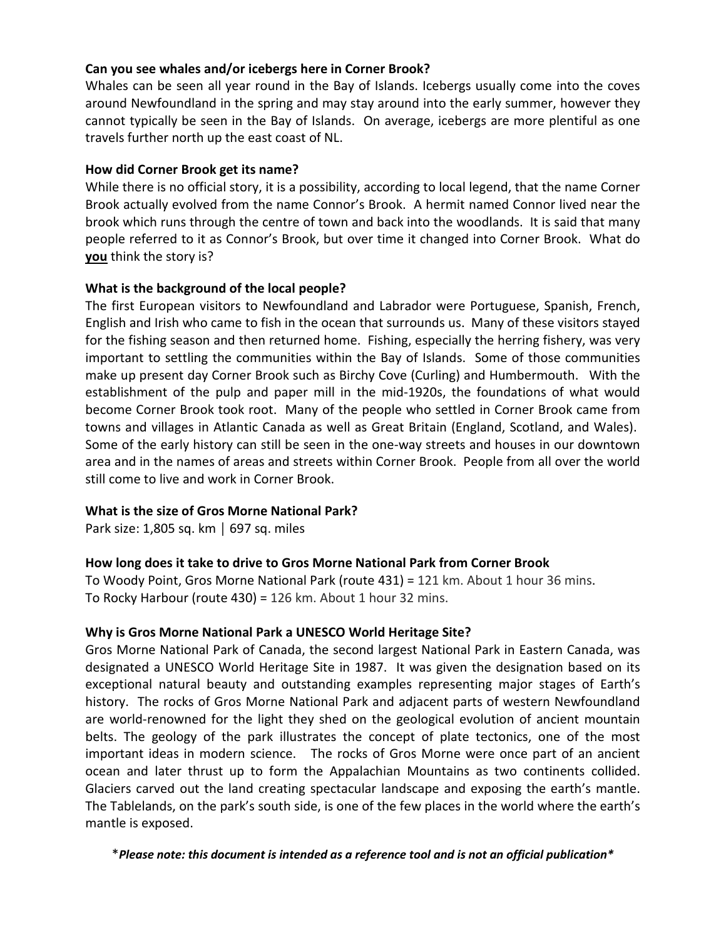### **Can you see whales and/or icebergs here in Corner Brook?**

Whales can be seen all year round in the Bay of Islands. Icebergs usually come into the coves around Newfoundland in the spring and may stay around into the early summer, however they cannot typically be seen in the Bay of Islands. On average, icebergs are more plentiful as one travels further north up the east coast of NL.

### **How did Corner Brook get its name?**

While there is no official story, it is a possibility, according to local legend, that the name Corner Brook actually evolved from the name Connor's Brook. A hermit named Connor lived near the brook which runs through the centre of town and back into the woodlands. It is said that many people referred to it as Connor's Brook, but over time it changed into Corner Brook. What do **you** think the story is?

### **What is the background of the local people?**

The first European visitors to Newfoundland and Labrador were Portuguese, Spanish, French, English and Irish who came to fish in the ocean that surrounds us. Many of these visitors stayed for the fishing season and then returned home. Fishing, especially the herring fishery, was very important to settling the communities within the Bay of Islands. Some of those communities make up present day Corner Brook such as Birchy Cove (Curling) and Humbermouth. With the establishment of the pulp and paper mill in the mid-1920s, the foundations of what would become Corner Brook took root. Many of the people who settled in Corner Brook came from towns and villages in Atlantic Canada as well as Great Britain (England, Scotland, and Wales). Some of the early history can still be seen in the one-way streets and houses in our downtown area and in the names of areas and streets within Corner Brook. People from all over the world still come to live and work in Corner Brook.

### **What is the size of Gros Morne National Park?**

Park size: 1,805 sq. km │ 697 sq. miles

### **How long does it take to drive to Gros Morne National Park from Corner Brook**

To Woody Point, Gros Morne National Park (route 431) = 121 km. About 1 hour 36 mins. To Rocky Harbour (route 430) = 126 km. About 1 hour 32 mins.

### **Why is Gros Morne National Park a UNESCO World Heritage Site?**

Gros Morne National Park of Canada, the second largest National Park in Eastern Canada, was designated a UNESCO World Heritage Site in 1987. It was given the designation based on its exceptional natural beauty and outstanding examples representing major stages of Earth's history. The rocks of Gros Morne National Park and adjacent parts of western Newfoundland are world-renowned for the light they shed on the geological evolution of ancient mountain belts. The geology of the park illustrates the concept of plate tectonics, one of the most important ideas in modern science. The rocks of Gros Morne were once part of an ancient ocean and later thrust up to form the Appalachian Mountains as two continents collided. Glaciers carved out the land creating spectacular landscape and exposing the earth's mantle. The Tablelands, on the park's south side, is one of the few places in the world where the earth's mantle is exposed.

\**Please note: this document is intended as a reference tool and is not an official publication\**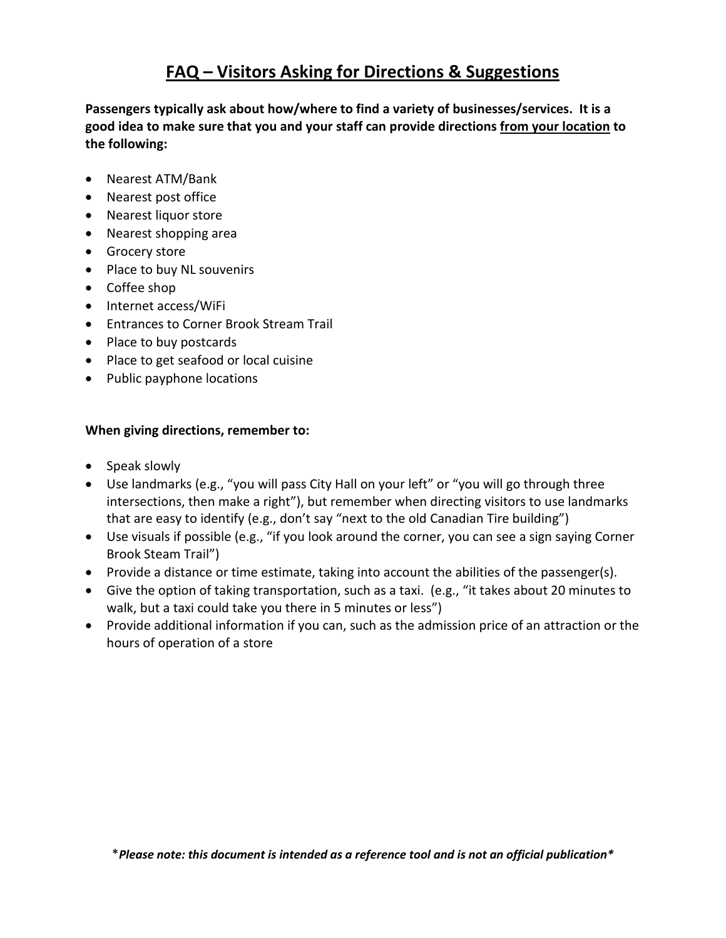### **FAQ – Visitors Asking for Directions & Suggestions**

**Passengers typically ask about how/where to find a variety of businesses/services. It is a good idea to make sure that you and your staff can provide directions from your location to the following:**

- Nearest ATM/Bank
- Nearest post office
- Nearest liquor store
- Nearest shopping area
- Grocery store
- Place to buy NL souvenirs
- Coffee shop
- Internet access/WiFi
- Entrances to Corner Brook Stream Trail
- Place to buy postcards
- Place to get seafood or local cuisine
- Public payphone locations

### **When giving directions, remember to:**

- Speak slowly
- Use landmarks (e.g., "you will pass City Hall on your left" or "you will go through three intersections, then make a right"), but remember when directing visitors to use landmarks that are easy to identify (e.g., don't say "next to the old Canadian Tire building")
- Use visuals if possible (e.g., "if you look around the corner, you can see a sign saying Corner Brook Steam Trail")
- Provide a distance or time estimate, taking into account the abilities of the passenger(s).
- Give the option of taking transportation, such as a taxi. (e.g., "it takes about 20 minutes to walk, but a taxi could take you there in 5 minutes or less")
- Provide additional information if you can, such as the admission price of an attraction or the hours of operation of a store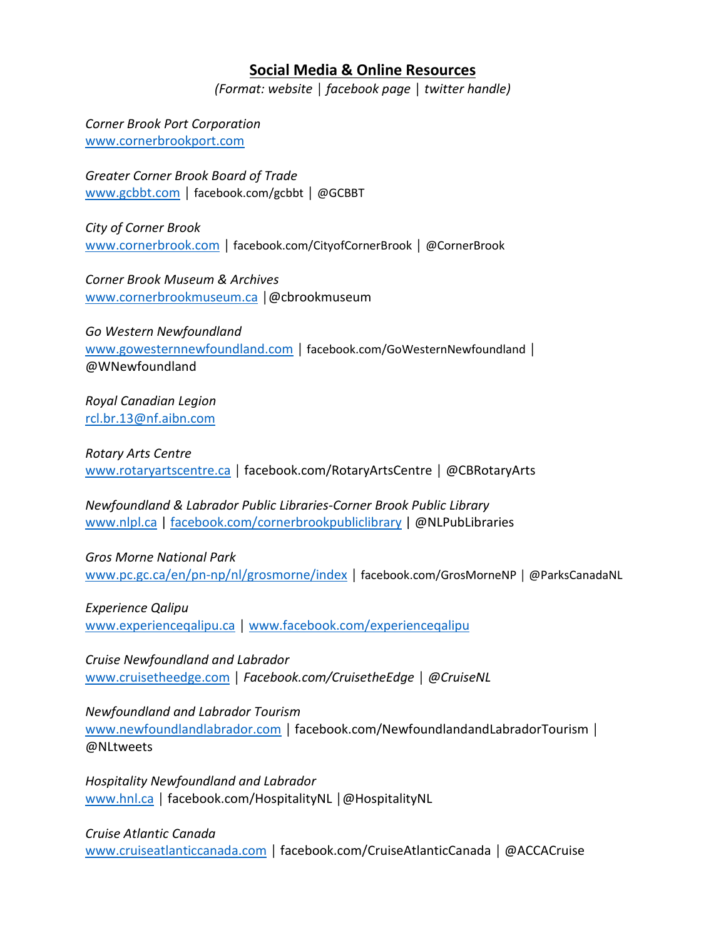### **Social Media & Online Resources**

*(Format: website │ facebook page │ twitter handle)*

*Corner Brook Port Corporation* [www.cornerbrookport.com](http://www.cornerbrookport.com/)

*Greater Corner Brook Board of Trade* [www.gcbbt.com](http://www.gcbbt.com/) │ facebook.com/gcbbt │ @GCBBT

*City of Corner Brook*  [www.cornerbrook.com](http://www.cornerbrook.com/) │ facebook.com/CityofCornerBrook *│* @CornerBrook

*Corner Brook Museum & Archives*  [www.cornerbrookmuseum.ca](http://www.cornerbrookmuseum.ca/) | @cbrookmuseum

*Go Western Newfoundland* [www.gowesternnewfoundland.com](http://www.gowesternnewfoundland.com/) | facebook.com/GoWesternNewfoundland | @WNewfoundland

*Royal Canadian Legion* [rcl.br.13@nf.aibn.com](mailto:rcl.br.13@nf.aibn.com)

*Rotary Arts Centre* [www.rotaryartscentre.ca](http://www.rotaryartscentre.ca/) | facebook.com/RotaryArtsCentre | @CBRotaryArts

*Newfoundland & Labrador Public Libraries-Corner Brook Public Library* [www.nlpl.ca](http://www.nlpl.ca/) | [facebook.com/cornerbrookpubliclibrary](http://www.facebook.com/cornerbrookpubliclibrary) | @NLPubLibraries

*Gros Morne National Park*  [www.pc.gc.ca/en/pn-np/nl/grosmorne/index](http://www.pc.gc.ca/en/pn-np/nl/grosmorne/index) | facebook.com/GrosMorneNP | @ParksCanadaNL

*Experience Qalipu* [www.experienceqalipu.ca](http://www.experienceqalipu.ca/) | [www.facebook.com/experienceqalipu](http://www.facebook.com/experienceqalipu)

*Cruise Newfoundland and Labrador* [www.cruisetheedge.com](http://www.cruisetheedge.com/) │ *Facebook.com/CruisetheEdge* │ *@CruiseNL*

*Newfoundland and Labrador Tourism*

[www.newfoundlandlabrador.com](http://www.newfoundlandlabrador.com/) | facebook.com/NewfoundlandandLabradorTourism | @NLtweets

*Hospitality Newfoundland and Labrador* [www.hnl.ca](http://www.hnl.ca/) │ facebook.com/HospitalityNL │@HospitalityNL

### *Cruise Atlantic Canada*

[www.cruiseatlanticcanada.com](http://www.cruiseatlanticcanada.com/) │ facebook.com/CruiseAtlanticCanada │ @ACCACruise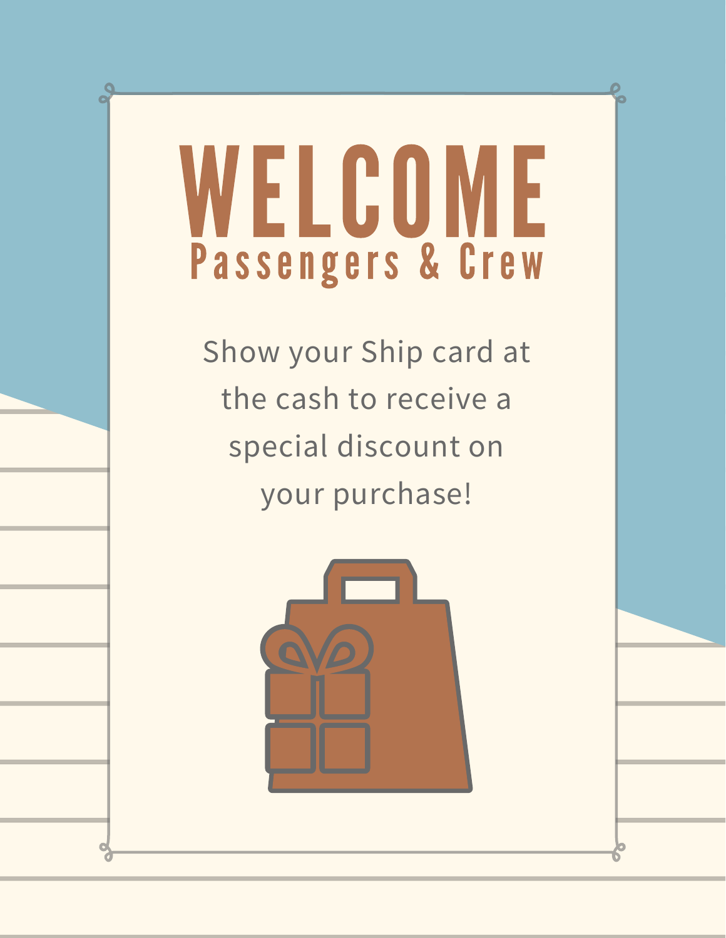### WELCOME Passengers & Crew

Show your Ship card at the cash to receive a special discount on your purchase!

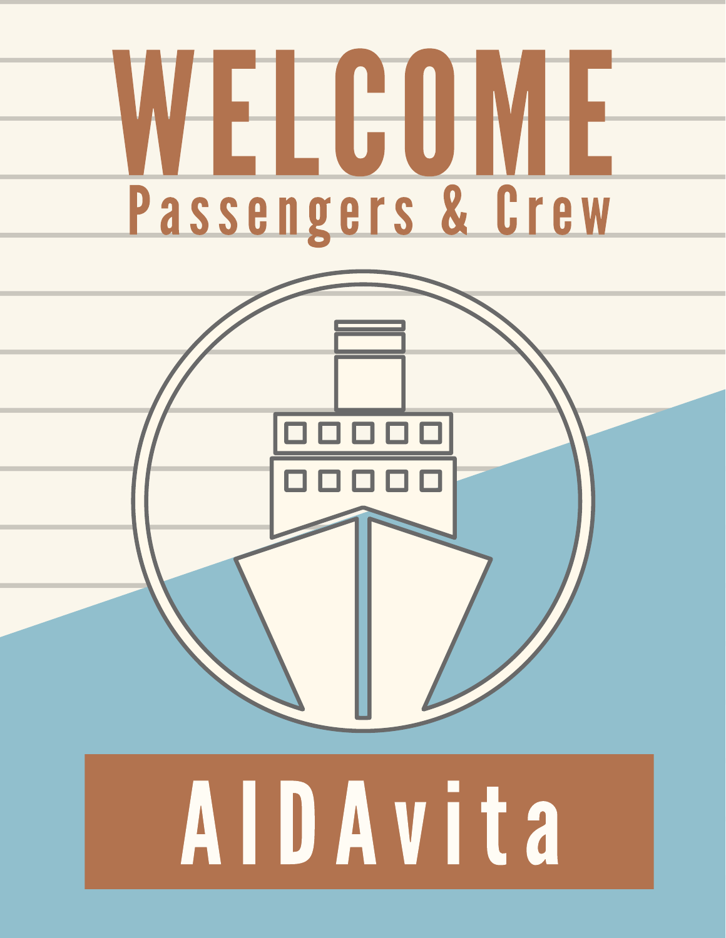

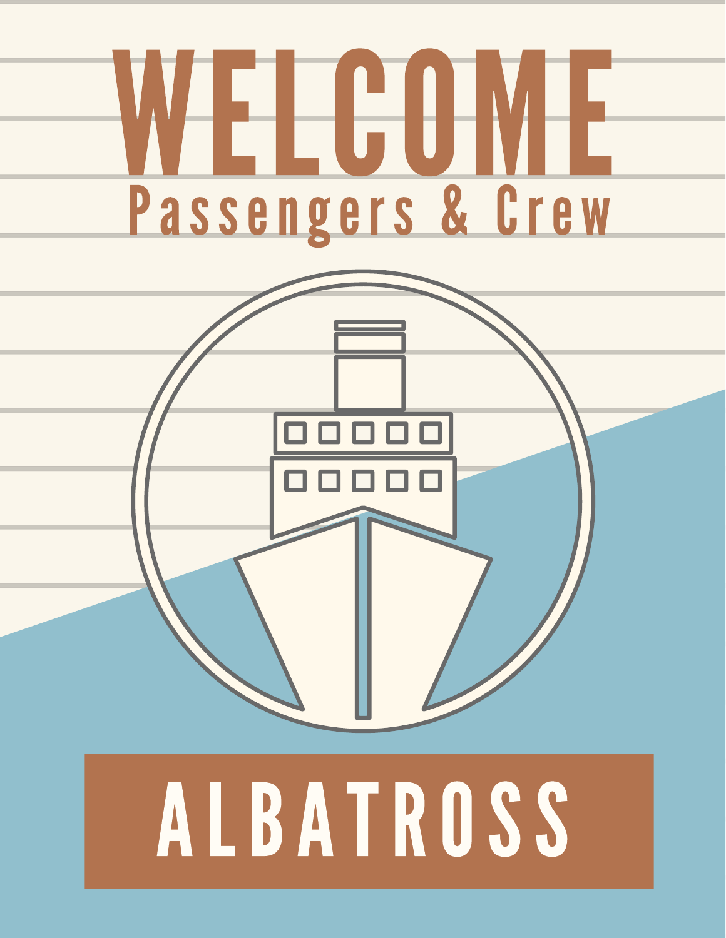

# ALBATROSS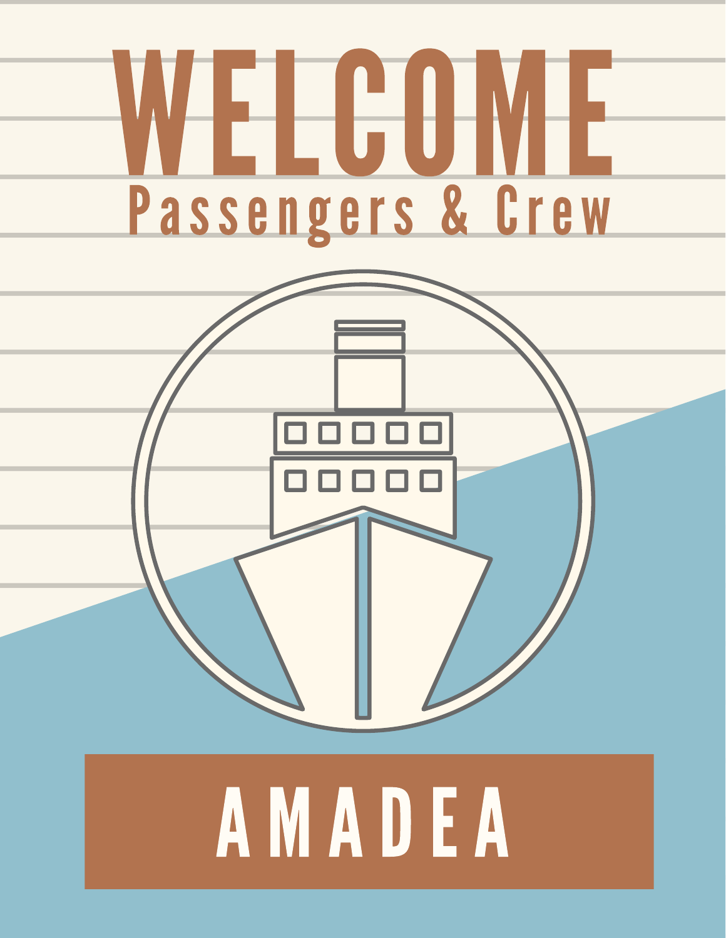

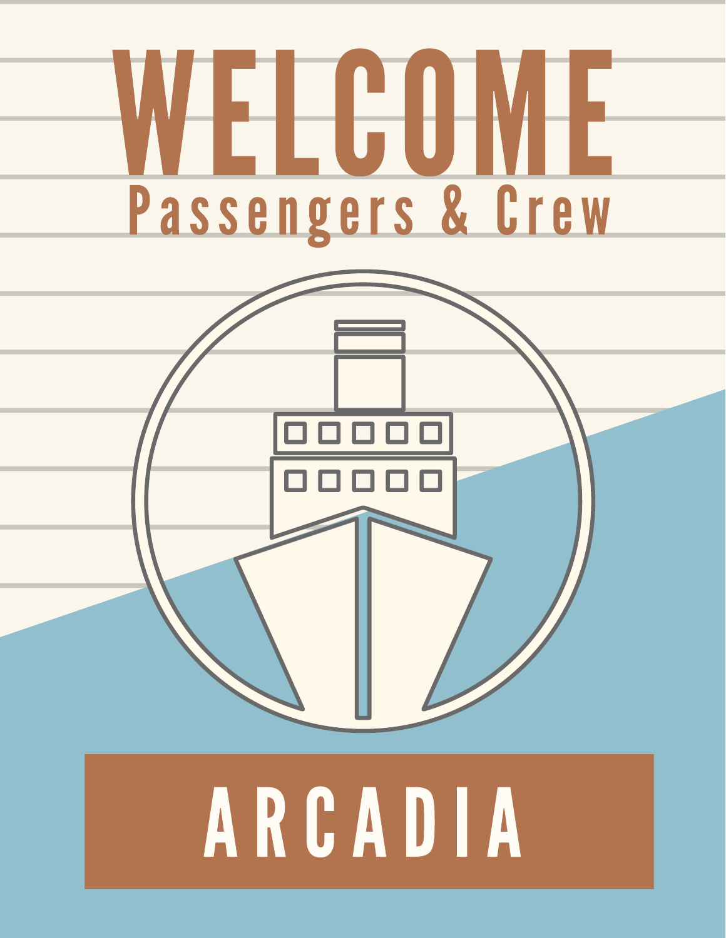

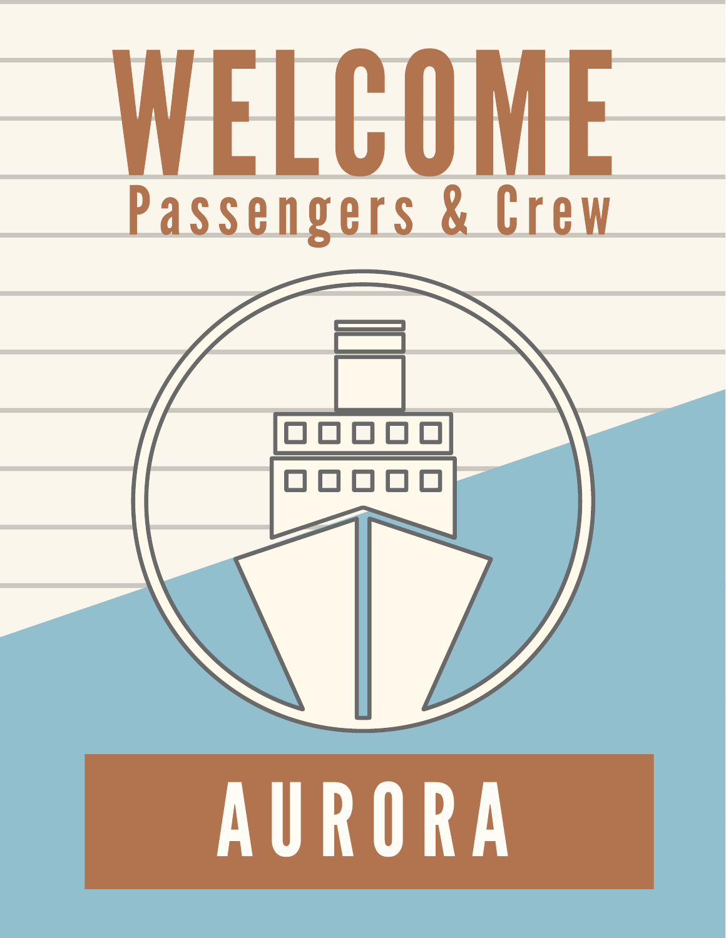

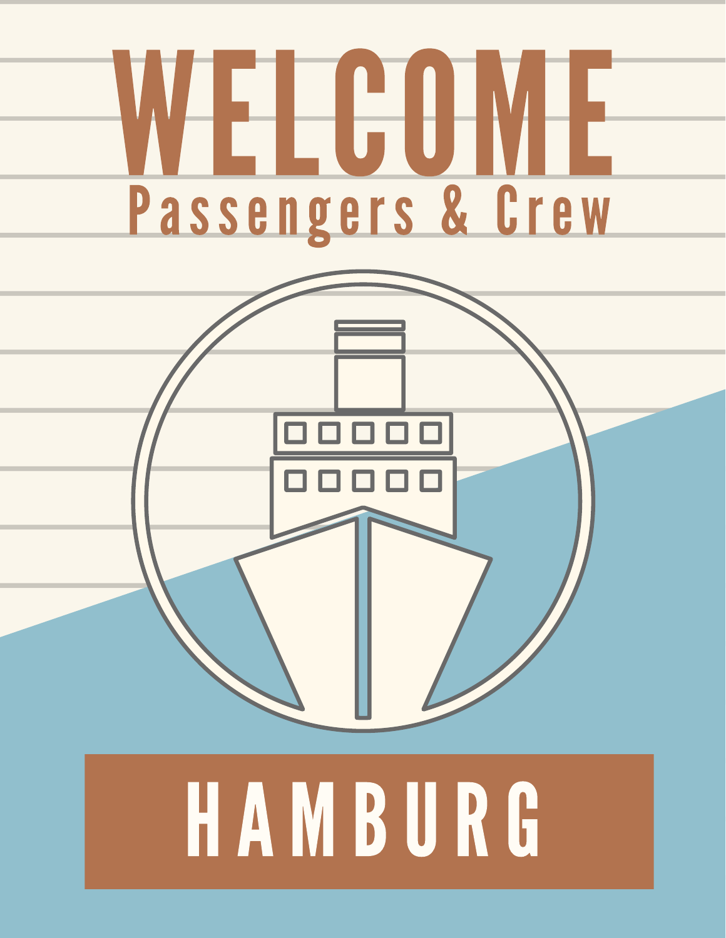

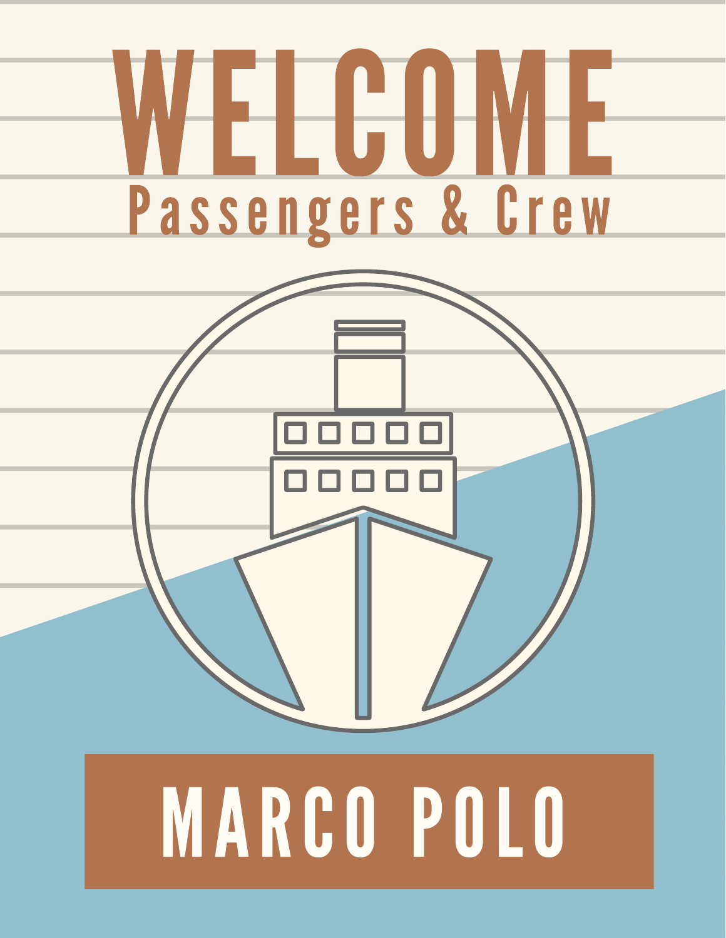

# MARCO POLO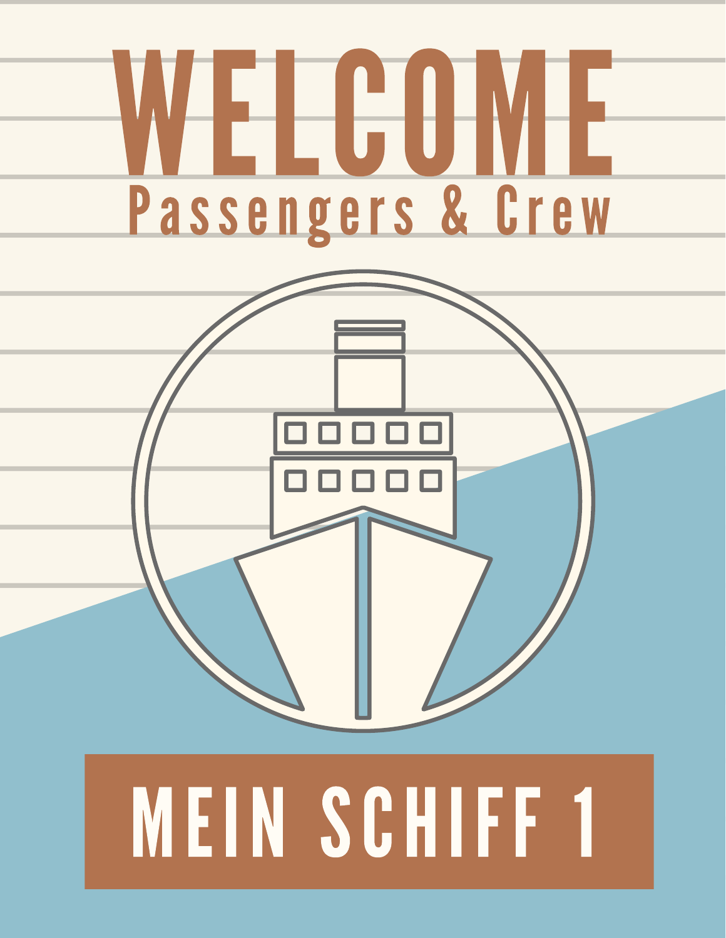

# MEIN SCHIFF 1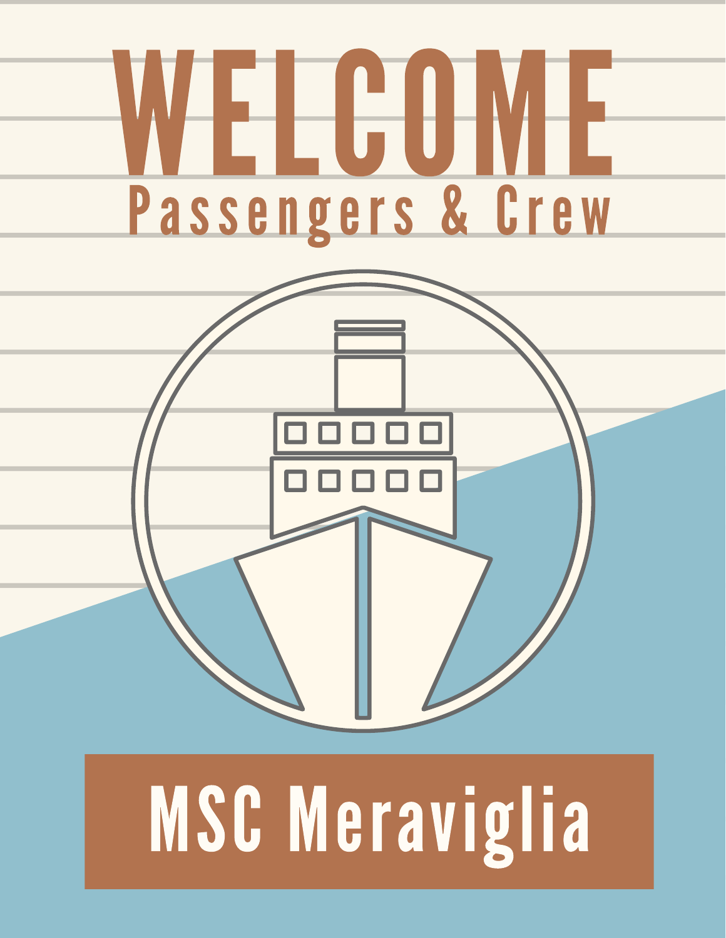

### **MSC Meraviglia**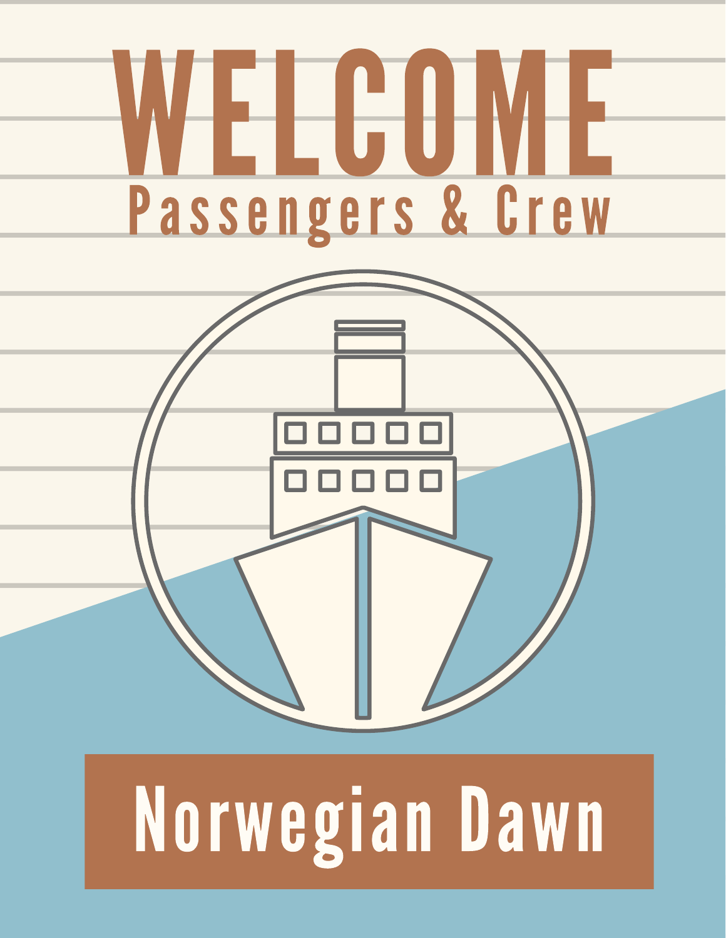

### Norwegian Dawn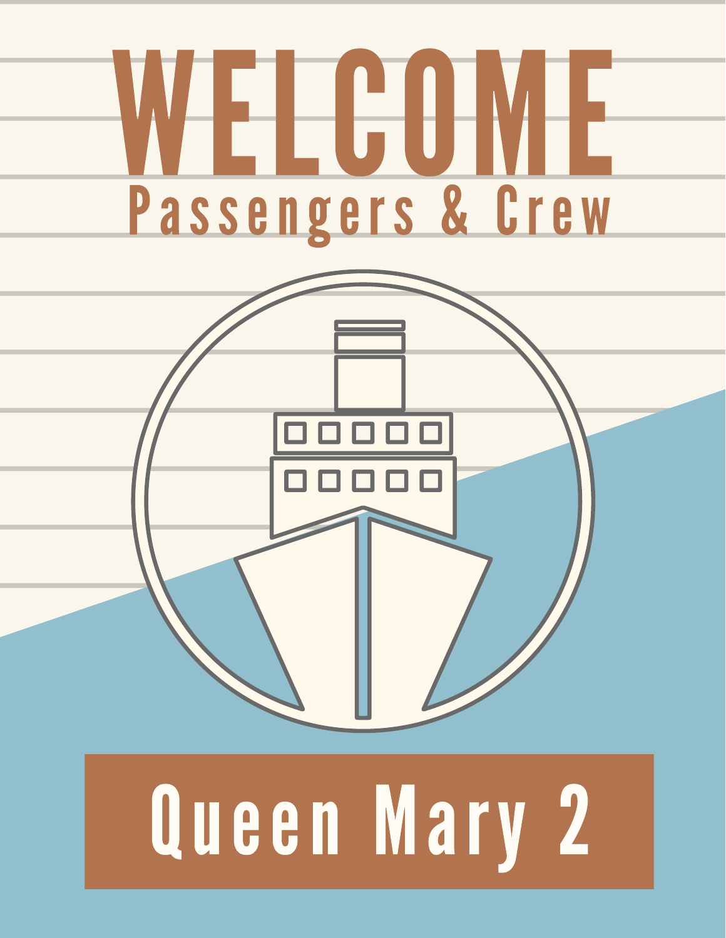

## Queen Mary 2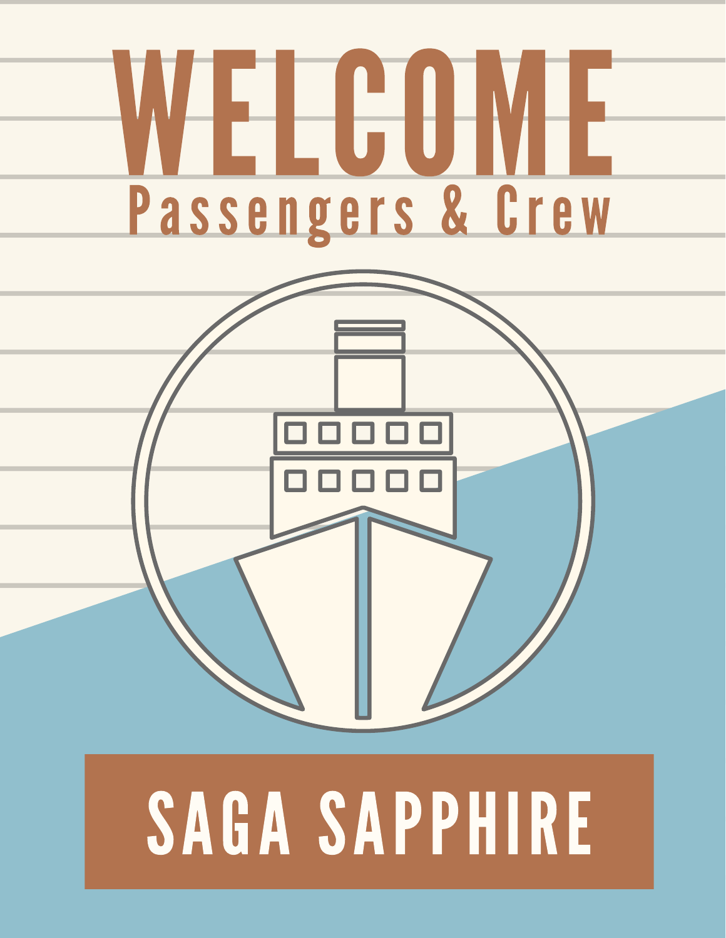

### SAGA SAPPHIRE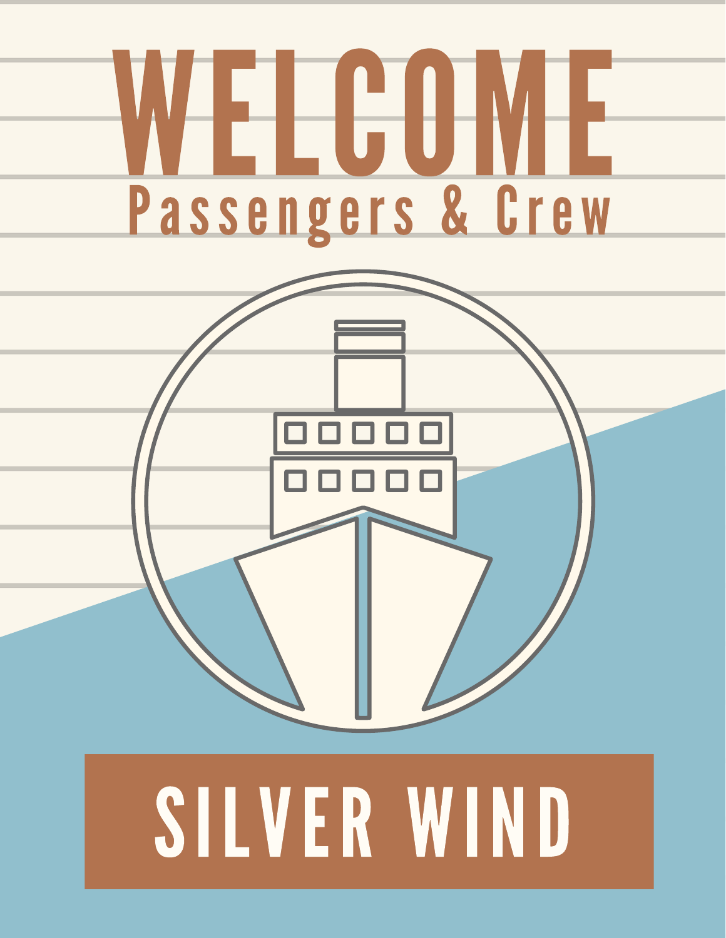

# SILVER WIND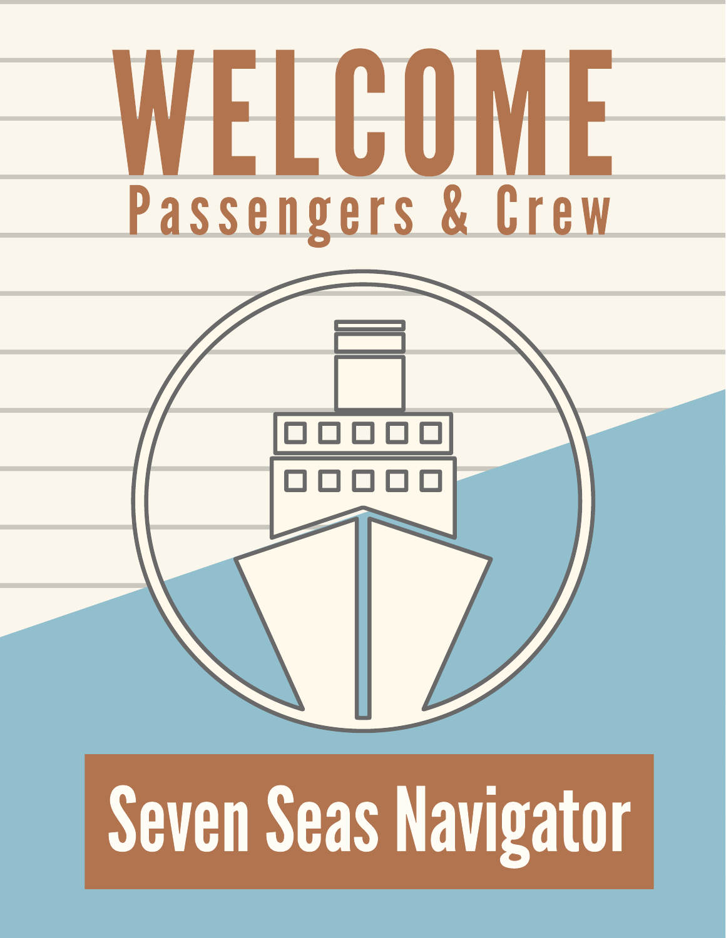

### Seven Seas Navigator